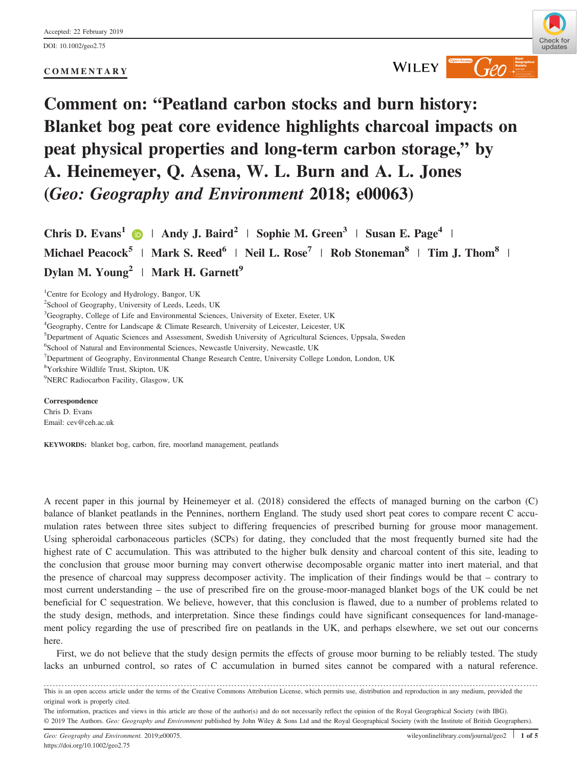DOI: 10.1002/geo2.75

## COMMENTARY

WILEY Contract Contract Contract Contract Contract Contract Contract Contract Contract Contract Contract Contract Contract Contract Contract Contract Contract Contract Contract Contract Contract Contract Contract Contract

## Comment on: "Peatland carbon stocks and burn history: Blanket bog peat core evidence highlights charcoal impacts on peat physical properties and long‐term carbon storage," by A. Heinemeyer, Q. Asena, W. L. Burn and A. L. Jones (Geo: Geography and Environment 2018; e00063)

Chris D. Evans<sup>[1](https://orcid.org/0000-0002-7052-354X)</sup>  $\bullet$  | Andy J. Baird<sup>2</sup> | Sophie M. Green<sup>3</sup> | Susan E. Page<sup>4</sup> | Michael Peacock<sup>5</sup> | Mark S. Reed<sup>6</sup> | Neil L. Rose<sup>7</sup> | Rob Stoneman<sup>8</sup> | Tim J. Thom<sup>8</sup> | Dylan M. Young<sup>2</sup> | Mark H. Garnett<sup>9</sup>

1 Centre for Ecology and Hydrology, Bangor, UK

<sup>2</sup>School of Geography, University of Leeds, Leeds, UK

<sup>5</sup>Department of Aquatic Sciences and Assessment, Swedish University of Agricultural Sciences, Uppsala, Sweden

6 School of Natural and Environmental Sciences, Newcastle University, Newcastle, UK

<sup>7</sup>Department of Geography, Environmental Change Research Centre, University College London, London, UK

8 Yorkshire Wildlife Trust, Skipton, UK

9 NERC Radiocarbon Facility, Glasgow, UK

Correspondence Chris D. Evans Email: [cev@ceh.ac.uk](mailto:)

KEYWORDS: blanket bog, carbon, fire, moorland management, peatlands

A recent paper in this journal by Heinemeyer et al. (2018) considered the effects of managed burning on the carbon (C) balance of blanket peatlands in the Pennines, northern England. The study used short peat cores to compare recent C accumulation rates between three sites subject to differing frequencies of prescribed burning for grouse moor management. Using spheroidal carbonaceous particles (SCPs) for dating, they concluded that the most frequently burned site had the highest rate of C accumulation. This was attributed to the higher bulk density and charcoal content of this site, leading to the conclusion that grouse moor burning may convert otherwise decomposable organic matter into inert material, and that the presence of charcoal may suppress decomposer activity. The implication of their findings would be that – contrary to most current understanding – the use of prescribed fire on the grouse-moor-managed blanket bogs of the UK could be net beneficial for C sequestration. We believe, however, that this conclusion is flawed, due to a number of problems related to the study design, methods, and interpretation. Since these findings could have significant consequences for land‐management policy regarding the use of prescribed fire on peatlands in the UK, and perhaps elsewhere, we set out our concerns here.

First, we do not believe that the study design permits the effects of grouse moor burning to be reliably tested. The study lacks an unburned control, so rates of C accumulation in burned sites cannot be compared with a natural reference.



<sup>&</sup>lt;sup>3</sup>Geography, College of Life and Environmental Sciences, University of Exeter, Exeter, UK

<sup>&</sup>lt;sup>4</sup>Geography, Centre for Landscape & Climate Research, University of Leicester, Leicester, UK

This is an open access article under the terms of the [Creative Commons Attribution](http://creativecommons.org/licenses/by/4.0/) License, which permits use, distribution and reproduction in any medium, provided the original work is properly cited.

The information, practices and views in this article are those of the author(s) and do not necessarily reflect the opinion of the Royal Geographical Society (with IBG). © 2019 The Authors. Geo: Geography and Environment published by John Wiley & Sons Ltd and the Royal Geographical Society (with the Institute of British Geographers).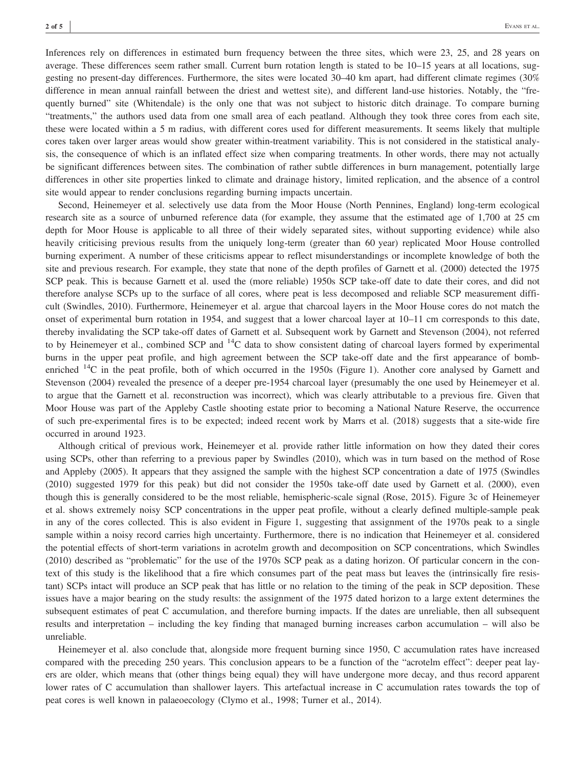Inferences rely on differences in estimated burn frequency between the three sites, which were 23, 25, and 28 years on average. These differences seem rather small. Current burn rotation length is stated to be 10–15 years at all locations, suggesting no present-day differences. Furthermore, the sites were located 30–40 km apart, had different climate regimes (30%) difference in mean annual rainfall between the driest and wettest site), and different land‐use histories. Notably, the "frequently burned" site (Whitendale) is the only one that was not subject to historic ditch drainage. To compare burning "treatments," the authors used data from one small area of each peatland. Although they took three cores from each site, these were located within a 5 m radius, with different cores used for different measurements. It seems likely that multiple cores taken over larger areas would show greater within‐treatment variability. This is not considered in the statistical analysis, the consequence of which is an inflated effect size when comparing treatments. In other words, there may not actually be significant differences between sites. The combination of rather subtle differences in burn management, potentially large differences in other site properties linked to climate and drainage history, limited replication, and the absence of a control site would appear to render conclusions regarding burning impacts uncertain.

Second, Heinemeyer et al. selectively use data from the Moor House (North Pennines, England) long-term ecological research site as a source of unburned reference data (for example, they assume that the estimated age of 1,700 at 25 cm depth for Moor House is applicable to all three of their widely separated sites, without supporting evidence) while also heavily criticising previous results from the uniquely long-term (greater than 60 year) replicated Moor House controlled burning experiment. A number of these criticisms appear to reflect misunderstandings or incomplete knowledge of both the site and previous research. For example, they state that none of the depth profiles of Garnett et al. (2000) detected the 1975 SCP peak. This is because Garnett et al. used the (more reliable) 1950s SCP take‐off date to date their cores, and did not therefore analyse SCPs up to the surface of all cores, where peat is less decomposed and reliable SCP measurement difficult (Swindles, 2010). Furthermore, Heinemeyer et al. argue that charcoal layers in the Moor House cores do not match the onset of experimental burn rotation in 1954, and suggest that a lower charcoal layer at 10–11 cm corresponds to this date, thereby invalidating the SCP take‐off dates of Garnett et al. Subsequent work by Garnett and Stevenson (2004), not referred to by Heinemeyer et al., combined SCP and  ${}^{14}C$  data to show consistent dating of charcoal layers formed by experimental burns in the upper peat profile, and high agreement between the SCP take-off date and the first appearance of bombenriched  $^{14}$ C in the peat profile, both of which occurred in the 1950s (Figure 1). Another core analysed by Garnett and Stevenson (2004) revealed the presence of a deeper pre-1954 charcoal layer (presumably the one used by Heinemeyer et al. to argue that the Garnett et al. reconstruction was incorrect), which was clearly attributable to a previous fire. Given that Moor House was part of the Appleby Castle shooting estate prior to becoming a National Nature Reserve, the occurrence of such pre‐experimental fires is to be expected; indeed recent work by Marrs et al. (2018) suggests that a site‐wide fire occurred in around 1923.

Although critical of previous work, Heinemeyer et al. provide rather little information on how they dated their cores using SCPs, other than referring to a previous paper by Swindles (2010), which was in turn based on the method of Rose and Appleby (2005). It appears that they assigned the sample with the highest SCP concentration a date of 1975 (Swindles (2010) suggested 1979 for this peak) but did not consider the 1950s take‐off date used by Garnett et al. (2000), even though this is generally considered to be the most reliable, hemispheric‐scale signal (Rose, 2015). Figure 3c of Heinemeyer et al. shows extremely noisy SCP concentrations in the upper peat profile, without a clearly defined multiple‐sample peak in any of the cores collected. This is also evident in Figure 1, suggesting that assignment of the 1970s peak to a single sample within a noisy record carries high uncertainty. Furthermore, there is no indication that Heinemeyer et al. considered the potential effects of short-term variations in acrotelm growth and decomposition on SCP concentrations, which Swindles (2010) described as "problematic" for the use of the 1970s SCP peak as a dating horizon. Of particular concern in the context of this study is the likelihood that a fire which consumes part of the peat mass but leaves the (intrinsically fire resistant) SCPs intact will produce an SCP peak that has little or no relation to the timing of the peak in SCP deposition. These issues have a major bearing on the study results: the assignment of the 1975 dated horizon to a large extent determines the subsequent estimates of peat C accumulation, and therefore burning impacts. If the dates are unreliable, then all subsequent results and interpretation – including the key finding that managed burning increases carbon accumulation – will also be unreliable.

Heinemeyer et al. also conclude that, alongside more frequent burning since 1950, C accumulation rates have increased compared with the preceding 250 years. This conclusion appears to be a function of the "acrotelm effect": deeper peat layers are older, which means that (other things being equal) they will have undergone more decay, and thus record apparent lower rates of C accumulation than shallower layers. This artefactual increase in C accumulation rates towards the top of peat cores is well known in palaeoecology (Clymo et al., 1998; Turner et al., 2014).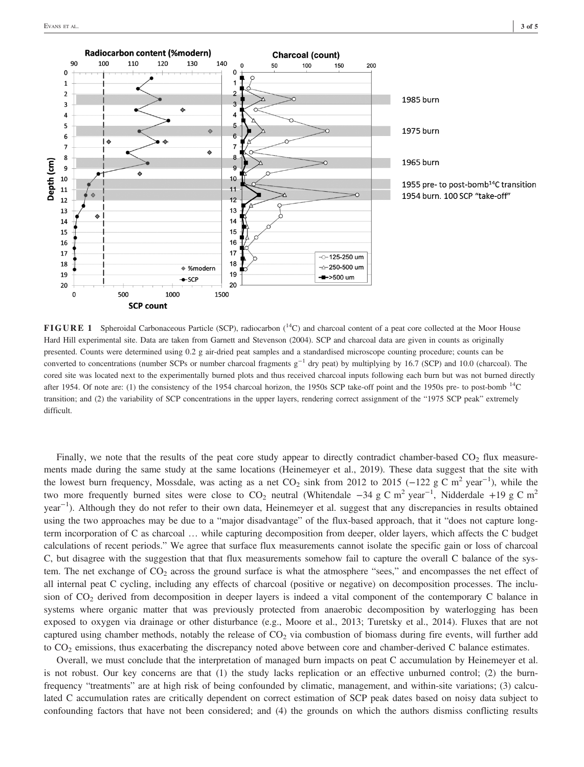

FIGURE 1 Spheroidal Carbonaceous Particle (SCP), radiocarbon (<sup>14</sup>C) and charcoal content of a peat core collected at the Moor House Hard Hill experimental site. Data are taken from Garnett and Stevenson (2004). SCP and charcoal data are given in counts as originally presented. Counts were determined using 0.2 g air-dried peat samples and a standardised microscope counting procedure; counts can be converted to concentrations (number SCPs or number charcoal fragments g−<sup>1</sup> dry peat) by multiplying by 16.7 (SCP) and 10.0 (charcoal). The cored site was located next to the experimentally burned plots and thus received charcoal inputs following each burn but was not burned directly after 1954. Of note are: (1) the consistency of the 1954 charcoal horizon, the 1950s SCP take-off point and the 1950s pre- to post-bomb  $14$ C transition; and (2) the variability of SCP concentrations in the upper layers, rendering correct assignment of the "1975 SCP peak" extremely difficult.

Finally, we note that the results of the peat core study appear to directly contradict chamber-based  $CO<sub>2</sub>$  flux measurements made during the same study at the same locations (Heinemeyer et al., 2019). These data suggest that the site with the lowest burn frequency, Mossdale, was acting as a net  $CO_2$  sink from 2012 to 2015 (−122 g C m<sup>2</sup> year<sup>-1</sup>), while the two more frequently burned sites were close to CO<sub>2</sub> neutral (Whitendale  $-34$  g C m<sup>2</sup> year<sup>-1</sup>, Nidderdale +19 g C m<sup>2</sup> year<sup>-1</sup>). Although they do not refer to their own data, Heinemeyer et al. suggest that any discrepancies in results obtained using the two approaches may be due to a "major disadvantage" of the flux-based approach, that it "does not capture longterm incorporation of C as charcoal … while capturing decomposition from deeper, older layers, which affects the C budget calculations of recent periods." We agree that surface flux measurements cannot isolate the specific gain or loss of charcoal C, but disagree with the suggestion that that flux measurements somehow fail to capture the overall C balance of the system. The net exchange of  $CO<sub>2</sub>$  across the ground surface is what the atmosphere "sees," and encompasses the net effect of all internal peat C cycling, including any effects of charcoal (positive or negative) on decomposition processes. The inclusion of CO<sub>2</sub> derived from decomposition in deeper layers is indeed a vital component of the contemporary C balance in systems where organic matter that was previously protected from anaerobic decomposition by waterlogging has been exposed to oxygen via drainage or other disturbance (e.g., Moore et al., 2013; Turetsky et al., 2014). Fluxes that are not captured using chamber methods, notably the release of  $CO<sub>2</sub>$  via combustion of biomass during fire events, will further add to CO<sub>2</sub> emissions, thus exacerbating the discrepancy noted above between core and chamber-derived C balance estimates.

Overall, we must conclude that the interpretation of managed burn impacts on peat C accumulation by Heinemeyer et al. is not robust. Our key concerns are that  $(1)$  the study lacks replication or an effective unburned control;  $(2)$  the burnfrequency "treatments" are at high risk of being confounded by climatic, management, and within-site variations; (3) calculated C accumulation rates are critically dependent on correct estimation of SCP peak dates based on noisy data subject to confounding factors that have not been considered; and (4) the grounds on which the authors dismiss conflicting results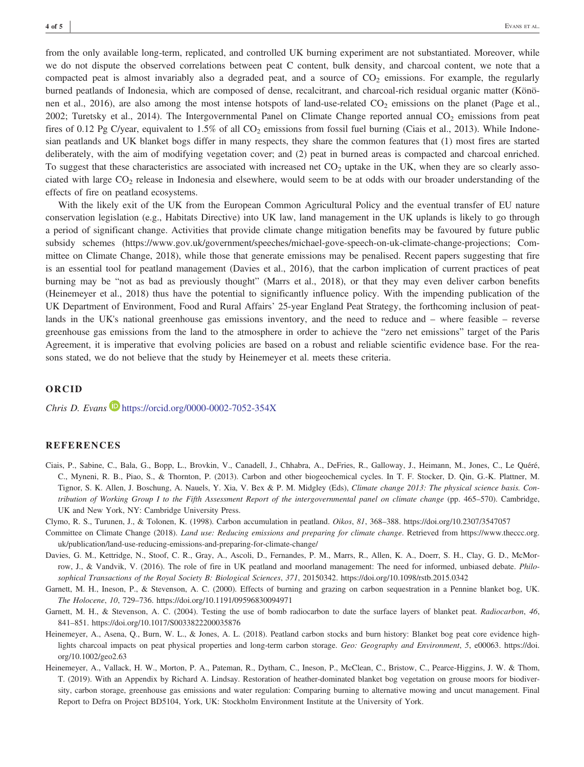from the only available long-term, replicated, and controlled UK burning experiment are not substantiated. Moreover, while we do not dispute the observed correlations between peat C content, bulk density, and charcoal content, we note that a compacted peat is almost invariably also a degraded peat, and a source of  $CO<sub>2</sub>$  emissions. For example, the regularly burned peatlands of Indonesia, which are composed of dense, recalcitrant, and charcoal‐rich residual organic matter (Könönen et al., 2016), are also among the most intense hotspots of land-use-related CO<sub>2</sub> emissions on the planet (Page et al., 2002; Turetsky et al., 2014). The Intergovernmental Panel on Climate Change reported annual  $CO_2$  emissions from peat fires of 0.12 Pg C/year, equivalent to 1.5% of all  $CO<sub>2</sub>$  emissions from fossil fuel burning (Ciais et al., 2013). While Indonesian peatlands and UK blanket bogs differ in many respects, they share the common features that (1) most fires are started deliberately, with the aim of modifying vegetation cover; and (2) peat in burned areas is compacted and charcoal enriched. To suggest that these characteristics are associated with increased net  $CO<sub>2</sub>$  uptake in the UK, when they are so clearly associated with large  $CO<sub>2</sub>$  release in Indonesia and elsewhere, would seem to be at odds with our broader understanding of the effects of fire on peatland ecosystems.

With the likely exit of the UK from the European Common Agricultural Policy and the eventual transfer of EU nature conservation legislation (e.g., Habitats Directive) into UK law, land management in the UK uplands is likely to go through a period of significant change. Activities that provide climate change mitigation benefits may be favoured by future public subsidy schemes ([https://www.gov.uk/government/speeches/michael-gove-speech-on-uk-climate-change-projections](http://www.gov.uk/government/speeches/michael-gove-speech-on-uk-climate-change-projections); Committee on Climate Change, 2018), while those that generate emissions may be penalised. Recent papers suggesting that fire is an essential tool for peatland management (Davies et al., 2016), that the carbon implication of current practices of peat burning may be "not as bad as previously thought" (Marrs et al., 2018), or that they may even deliver carbon benefits (Heinemeyer et al., 2018) thus have the potential to significantly influence policy. With the impending publication of the UK Department of Environment, Food and Rural Affairs' 25‐year England Peat Strategy, the forthcoming inclusion of peatlands in the UK's national greenhouse gas emissions inventory, and the need to reduce and – where feasible – reverse greenhouse gas emissions from the land to the atmosphere in order to achieve the "zero net emissions" target of the Paris Agreement, it is imperative that evolving policies are based on a robust and reliable scientific evidence base. For the reasons stated, we do not believe that the study by Heinemeyer et al. meets these criteria.

## ORCID

Chris D. Evans  $\blacksquare$  https://orcid.org/0000-0002-7052-354X

## REFERENCES

- Ciais, P., Sabine, C., Bala, G., Bopp, L., Brovkin, V., Canadell, J., Chhabra, A., DeFries, R., Galloway, J., Heimann, M., Jones, C., Le Quéré, C., Myneni, R. B., Piao, S., & Thornton, P. (2013). Carbon and other biogeochemical cycles. In T. F. Stocker, D. Qin, G.-K. Plattner, M. Tignor, S. K. Allen, J. Boschung, A. Nauels, Y. Xia, V. Bex & P. M. Midgley (Eds), Climate change 2013: The physical science basis. Contribution of Working Group I to the Fifth Assessment Report of the intergovernmental panel on climate change (pp. 465–570). Cambridge, UK and New York, NY: Cambridge University Press.
- Clymo, R. S., Turunen, J., & Tolonen, K. (1998). Carbon accumulation in peatland. Oikos, 81, 368–388.<https://doi.org/10.2307/3547057>
- Committee on Climate Change (2018). Land use: Reducing emissions and preparing for climate change. Retrieved from [https://www.theccc.org.](https://www.theccc.org.uk/publication/land-use-reducing-emissions-and-preparing-for-climate-change/) [uk/publication/land-use-reducing-emissions-and-preparing-for-climate-change/](https://www.theccc.org.uk/publication/land-use-reducing-emissions-and-preparing-for-climate-change/)
- Davies, G. M., Kettridge, N., Stoof, C. R., Gray, A., Ascoli, D., Fernandes, P. M., Marrs, R., Allen, K. A., Doerr, S. H., Clay, G. D., McMorrow, J., & Vandvik, V. (2016). The role of fire in UK peatland and moorland management: The need for informed, unbiased debate. Philosophical Transactions of the Royal Society B: Biological Sciences, 371, 20150342.<https://doi.org/10.1098/rstb.2015.0342>
- Garnett, M. H., Ineson, P., & Stevenson, A. C. (2000). Effects of burning and grazing on carbon sequestration in a Pennine blanket bog, UK. The Holocene, 10, 729–736.<https://doi.org/10.1191/09596830094971>
- Garnett, M. H., & Stevenson, A. C. (2004). Testing the use of bomb radiocarbon to date the surface layers of blanket peat. Radiocarbon, 46, 841–851.<https://doi.org/10.1017/S0033822200035876>
- Heinemeyer, A., Asena, Q., Burn, W. L., & Jones, A. L. (2018). Peatland carbon stocks and burn history: Blanket bog peat core evidence highlights charcoal impacts on peat physical properties and long-term carbon storage. Geo: Geography and Environment, 5, e00063. [https://doi.](https://doi.org/10.1002/geo2.63) [org/10.1002/geo2.63](https://doi.org/10.1002/geo2.63)
- Heinemeyer, A., Vallack, H. W., Morton, P. A., Pateman, R., Dytham, C., Ineson, P., McClean, C., Bristow, C., Pearce-Higgins, J. W. & Thom, T. (2019). With an Appendix by Richard A. Lindsay. Restoration of heather-dominated blanket bog vegetation on grouse moors for biodiversity, carbon storage, greenhouse gas emissions and water regulation: Comparing burning to alternative mowing and uncut management. Final Report to Defra on Project BD5104, York, UK: Stockholm Environment Institute at the University of York.